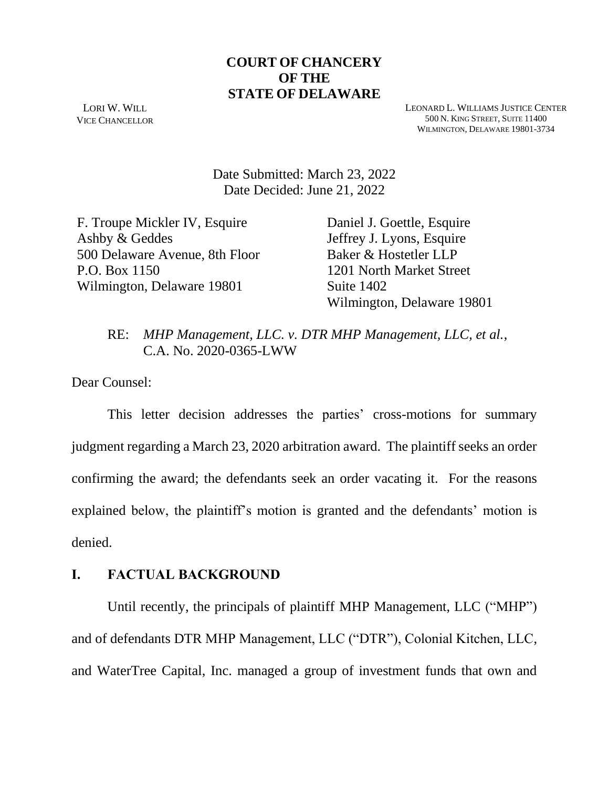# **COURT OF CHANCERY OF THE STATE OF DELAWARE**

LORI W. WILL VICE CHANCELLOR LEONARD L. WILLIAMS JUSTICE CENTER 500 N. KING STREET, SUITE 11400 WILMINGTON, DELAWARE 19801-3734

Date Submitted: March 23, 2022 Date Decided: June 21, 2022

F. Troupe Mickler IV, Esquire Ashby & Geddes 500 Delaware Avenue, 8th Floor P.O. Box 1150 Wilmington, Delaware 19801

Daniel J. Goettle, Esquire Jeffrey J. Lyons, Esquire Baker & Hostetler LLP 1201 North Market Street Suite 1402 Wilmington, Delaware 19801

# RE: *MHP Management, LLC. v. DTR MHP Management, LLC, et al.*, C.A. No. 2020-0365-LWW

Dear Counsel:

This letter decision addresses the parties' cross-motions for summary judgment regarding a March 23, 2020 arbitration award. The plaintiff seeks an order confirming the award; the defendants seek an order vacating it. For the reasons explained below, the plaintiff's motion is granted and the defendants' motion is denied.

#### **I. FACTUAL BACKGROUND**

Until recently, the principals of plaintiff MHP Management, LLC ("MHP") and of defendants DTR MHP Management, LLC ("DTR"), Colonial Kitchen, LLC, and WaterTree Capital, Inc. managed a group of investment funds that own and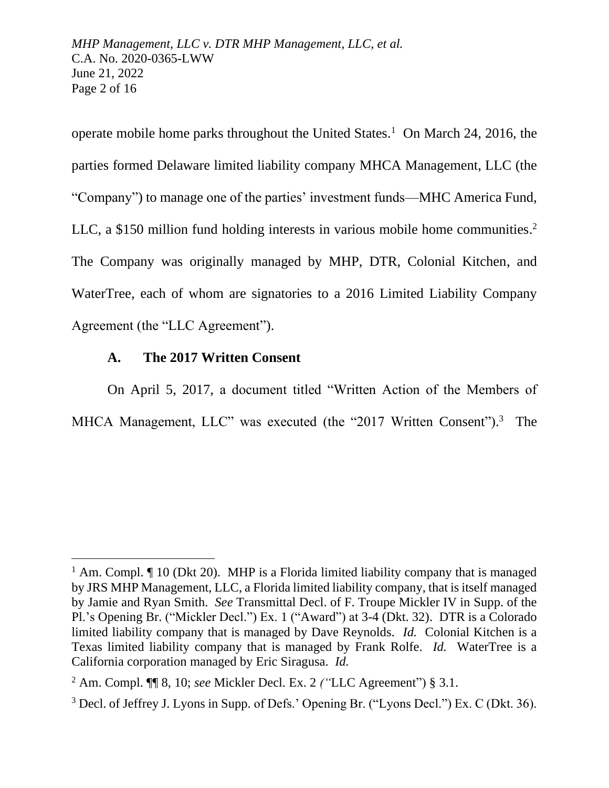*MHP Management, LLC v. DTR MHP Management, LLC, et al.* C.A. No. 2020-0365-LWW June 21, 2022 Page 2 of 16

operate mobile home parks throughout the United States.<sup>1</sup> On March 24, 2016, the parties formed Delaware limited liability company MHCA Management, LLC (the "Company") to manage one of the parties' investment funds—MHC America Fund, LLC, a \$150 million fund holding interests in various mobile home communities.<sup>2</sup> The Company was originally managed by MHP, DTR, Colonial Kitchen, and WaterTree, each of whom are signatories to a 2016 Limited Liability Company Agreement (the "LLC Agreement").

## **A. The 2017 Written Consent**

On April 5, 2017, a document titled "Written Action of the Members of MHCA Management, LLC" was executed (the "2017 Written Consent").<sup>3</sup> The

<sup>&</sup>lt;sup>1</sup> Am. Compl.  $\P$  10 (Dkt 20). MHP is a Florida limited liability company that is managed by JRS MHP Management, LLC, a Florida limited liability company, that is itself managed by Jamie and Ryan Smith. *See* Transmittal Decl. of F. Troupe Mickler IV in Supp. of the Pl.'s Opening Br. ("Mickler Decl.") Ex. 1 ("Award") at 3-4 (Dkt. 32). DTR is a Colorado limited liability company that is managed by Dave Reynolds. *Id.* Colonial Kitchen is a Texas limited liability company that is managed by Frank Rolfe. *Id.* WaterTree is a California corporation managed by Eric Siragusa. *Id.*

<sup>2</sup> Am. Compl. ¶¶ 8, 10; *see* Mickler Decl. Ex. 2 *("*LLC Agreement") § 3.1.

<sup>3</sup> Decl. of Jeffrey J. Lyons in Supp. of Defs.' Opening Br. ("Lyons Decl.") Ex. C (Dkt. 36).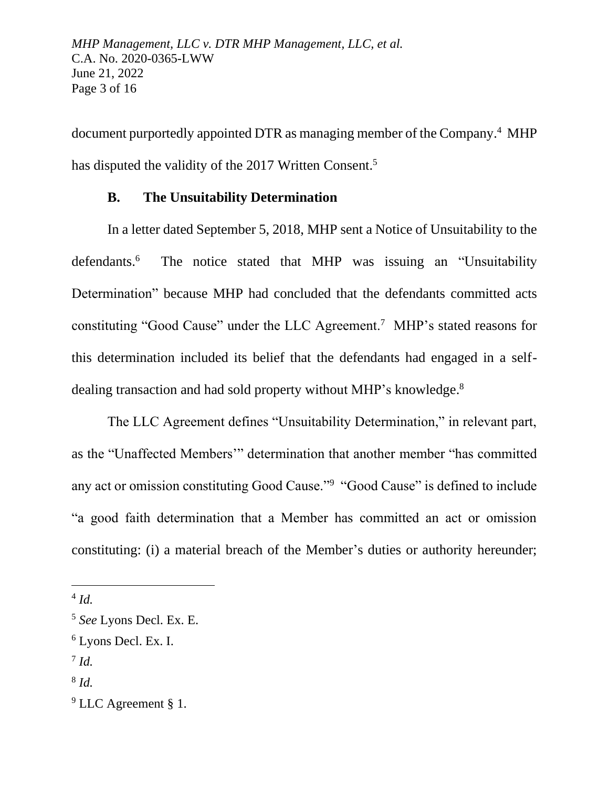document purportedly appointed DTR as managing member of the Company.<sup>4</sup> MHP has disputed the validity of the 2017 Written Consent.<sup>5</sup>

# **B. The Unsuitability Determination**

In a letter dated September 5, 2018, MHP sent a Notice of Unsuitability to the defendants.<sup>6</sup> The notice stated that MHP was issuing an "Unsuitability Determination" because MHP had concluded that the defendants committed acts constituting "Good Cause" under the LLC Agreement.<sup>7</sup> MHP's stated reasons for this determination included its belief that the defendants had engaged in a selfdealing transaction and had sold property without MHP's knowledge.<sup>8</sup>

The LLC Agreement defines "Unsuitability Determination," in relevant part, as the "Unaffected Members'" determination that another member "has committed any act or omission constituting Good Cause."<sup>9</sup> "Good Cause" is defined to include "a good faith determination that a Member has committed an act or omission constituting: (i) a material breach of the Member's duties or authority hereunder;

<sup>4</sup> *Id.*

<sup>5</sup> *See* Lyons Decl. Ex. E.

<sup>6</sup> Lyons Decl. Ex. I.

<sup>7</sup> *Id.*

<sup>8</sup> *Id.*

<sup>&</sup>lt;sup>9</sup> LLC Agreement § 1.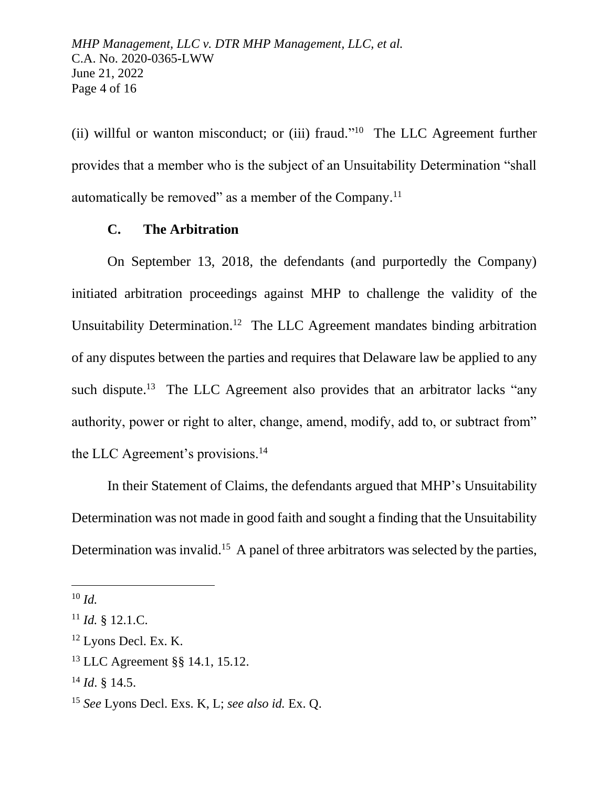(ii) willful or wanton misconduct; or (iii) fraud."<sup>10</sup> The LLC Agreement further provides that a member who is the subject of an Unsuitability Determination "shall automatically be removed" as a member of the Company.<sup>11</sup>

# **C. The Arbitration**

On September 13, 2018, the defendants (and purportedly the Company) initiated arbitration proceedings against MHP to challenge the validity of the Unsuitability Determination.<sup>12</sup> The LLC Agreement mandates binding arbitration of any disputes between the parties and requires that Delaware law be applied to any such dispute.<sup>13</sup> The LLC Agreement also provides that an arbitrator lacks "any authority, power or right to alter, change, amend, modify, add to, or subtract from" the LLC Agreement's provisions.<sup>14</sup>

In their Statement of Claims, the defendants argued that MHP's Unsuitability Determination was not made in good faith and sought a finding that the Unsuitability Determination was invalid.<sup>15</sup> A panel of three arbitrators was selected by the parties,

<sup>10</sup> *Id.*

 $^{11}$  *Id.* § 12.1.C.

<sup>&</sup>lt;sup>12</sup> Lyons Decl. Ex. K.

<sup>13</sup> LLC Agreement §§ 14.1, 15.12.

<sup>14</sup> *Id*. § 14.5.

<sup>15</sup> *See* Lyons Decl. Exs. K, L; *see also id.* Ex. Q.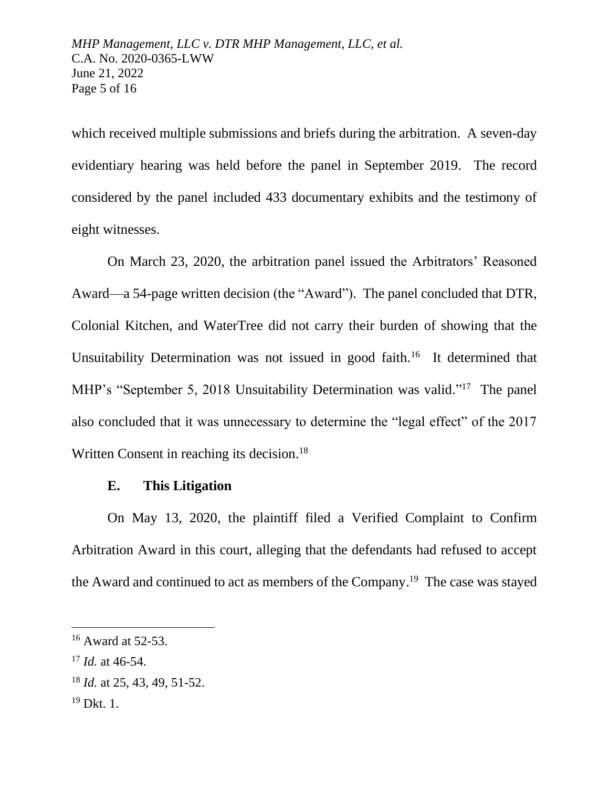which received multiple submissions and briefs during the arbitration. A seven-day evidentiary hearing was held before the panel in September 2019. The record considered by the panel included 433 documentary exhibits and the testimony of eight witnesses.

On March 23, 2020, the arbitration panel issued the Arbitrators' Reasoned Award—a 54-page written decision (the "Award"). The panel concluded that DTR, Colonial Kitchen, and WaterTree did not carry their burden of showing that the Unsuitability Determination was not issued in good faith.<sup>16</sup> It determined that MHP's "September 5, 2018 Unsuitability Determination was valid."<sup>17</sup> The panel also concluded that it was unnecessary to determine the "legal effect" of the 2017 Written Consent in reaching its decision.<sup>18</sup>

## **E. This Litigation**

On May 13, 2020, the plaintiff filed a Verified Complaint to Confirm Arbitration Award in this court, alleging that the defendants had refused to accept the Award and continued to act as members of the Company.<sup>19</sup> The case was stayed

 $16$  Award at 52-53.

<sup>17</sup> *Id.* at 46-54.

<sup>18</sup> *Id.* at 25, 43, 49, 51-52.

<sup>19</sup> Dkt. 1.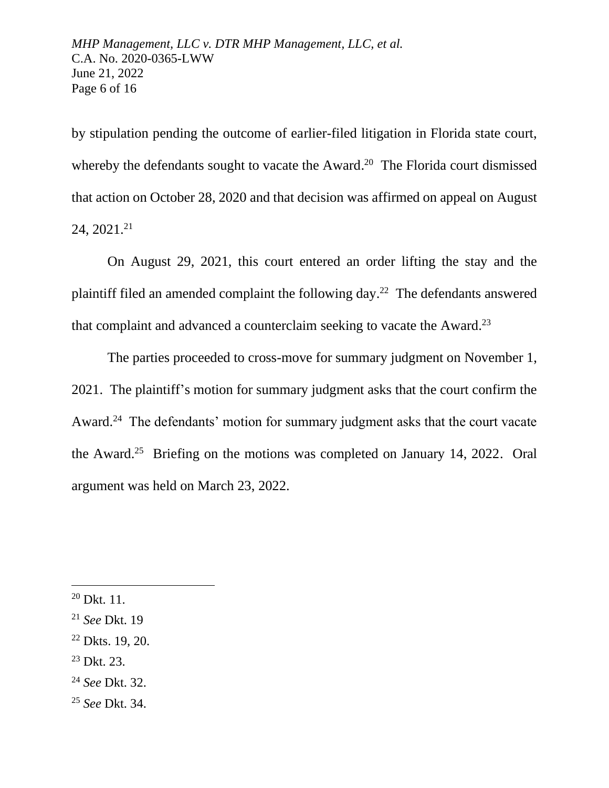by stipulation pending the outcome of earlier-filed litigation in Florida state court, whereby the defendants sought to vacate the Award.<sup>20</sup> The Florida court dismissed that action on October 28, 2020 and that decision was affirmed on appeal on August  $24, 2021.<sup>21</sup>$ 

On August 29, 2021, this court entered an order lifting the stay and the plaintiff filed an amended complaint the following day.<sup>22</sup> The defendants answered that complaint and advanced a counterclaim seeking to vacate the Award.<sup>23</sup>

The parties proceeded to cross-move for summary judgment on November 1, 2021. The plaintiff's motion for summary judgment asks that the court confirm the Award.<sup>24</sup> The defendants' motion for summary judgment asks that the court vacate the Award.<sup>25</sup> Briefing on the motions was completed on January 14, 2022. Oral argument was held on March 23, 2022.

- $22$  Dkts. 19, 20.
- <sup>23</sup> Dkt. 23.
- <sup>24</sup> *See* Dkt. 32.
- <sup>25</sup> *See* Dkt. 34.

 $^{20}$  Dkt. 11.

<sup>21</sup> *See* Dkt. 19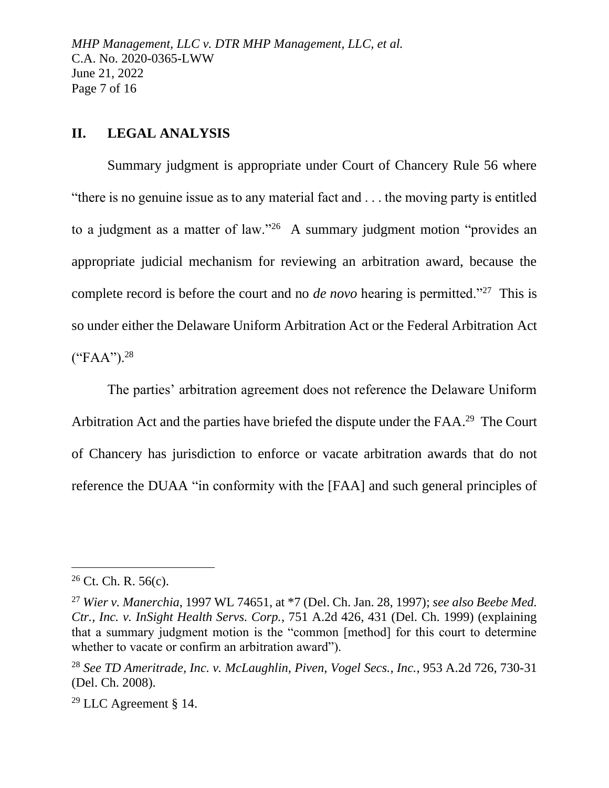*MHP Management, LLC v. DTR MHP Management, LLC, et al.* C.A. No. 2020-0365-LWW June 21, 2022 Page 7 of 16

## **II. LEGAL ANALYSIS**

Summary judgment is appropriate under Court of Chancery Rule 56 where "there is no genuine issue as to any material fact and . . . the moving party is entitled to a judgment as a matter of law."<sup>26</sup> A summary judgment motion "provides an appropriate judicial mechanism for reviewing an arbitration award, because the complete record is before the court and no *de novo* hearing is permitted."<sup>27</sup> This is so under either the Delaware Uniform Arbitration Act or the Federal Arbitration Act  $("FAA")$ .<sup>28</sup>

The parties' arbitration agreement does not reference the Delaware Uniform Arbitration Act and the parties have briefed the dispute under the FAA.<sup>29</sup> The Court of Chancery has jurisdiction to enforce or vacate arbitration awards that do not reference the DUAA "in conformity with the [FAA] and such general principles of

 $26$  Ct. Ch. R. 56(c).

<sup>27</sup> *Wier v. Manerchia*, 1997 WL 74651, at \*7 (Del. Ch. Jan. 28, 1997); *see also Beebe Med. Ctr., Inc. v. InSight Health Servs. Corp.*, 751 A.2d 426, 431 (Del. Ch. 1999) (explaining that a summary judgment motion is the "common [method] for this court to determine whether to vacate or confirm an arbitration award").

<sup>28</sup> *See TD Ameritrade, Inc. v. McLaughlin, Piven, Vogel Secs., Inc.*, 953 A.2d 726, 730-31 (Del. Ch. 2008).

<sup>29</sup> LLC Agreement § 14.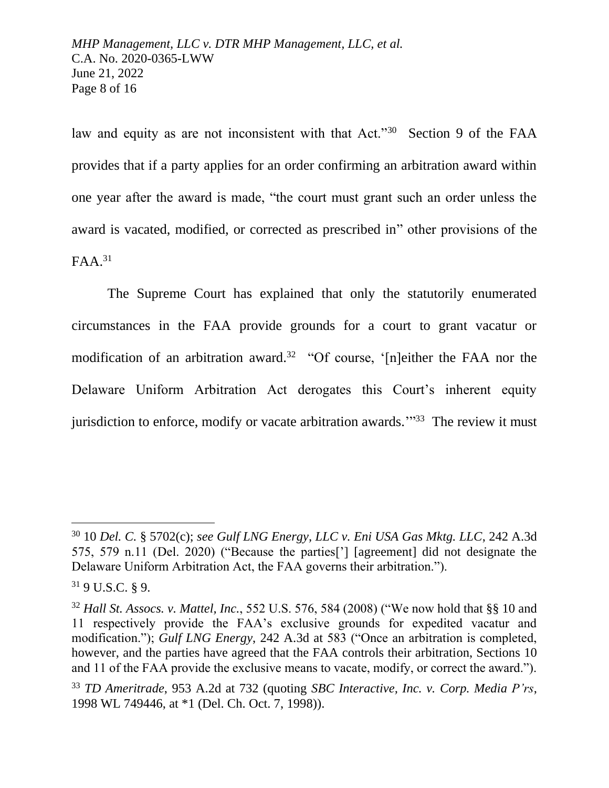*MHP Management, LLC v. DTR MHP Management, LLC, et al.* C.A. No. 2020-0365-LWW June 21, 2022 Page 8 of 16

law and equity as are not inconsistent with that Act."<sup>30</sup> Section 9 of the FAA provides that if a party applies for an order confirming an arbitration award within one year after the award is made, "the court must grant such an order unless the award is vacated, modified, or corrected as prescribed in" other provisions of the  $FAA.<sup>31</sup>$ 

The Supreme Court has explained that only the statutorily enumerated circumstances in the FAA provide grounds for a court to grant vacatur or modification of an arbitration award.<sup>32</sup> "Of course, '[n]either the FAA nor the Delaware Uniform Arbitration Act derogates this Court's inherent equity jurisdiction to enforce, modify or vacate arbitration awards."<sup>33</sup> The review it must

<sup>30</sup> 10 *Del. C.* § 5702(c); *see Gulf LNG Energy, LLC v. Eni USA Gas Mktg. LLC*, 242 A.3d 575, 579 n.11 (Del. 2020) ("Because the parties['] [agreement] did not designate the Delaware Uniform Arbitration Act, the FAA governs their arbitration.").

<sup>31</sup> 9 U.S.C. § 9.

<sup>32</sup> *Hall St. Assocs. v. Mattel, Inc.*, 552 U.S. 576, 584 (2008) ("We now hold that §§ 10 and 11 respectively provide the FAA's exclusive grounds for expedited vacatur and modification."); *Gulf LNG Energy*, 242 A.3d at 583 ("Once an arbitration is completed, however, and the parties have agreed that the FAA controls their arbitration, Sections 10 and 11 of the FAA provide the exclusive means to vacate, modify, or correct the award.").

<sup>33</sup> *TD Ameritrade*, 953 A.2d at 732 (quoting *SBC Interactive, Inc. v. Corp. Media P'rs*, 1998 WL 749446, at \*1 (Del. Ch. Oct. 7, 1998)).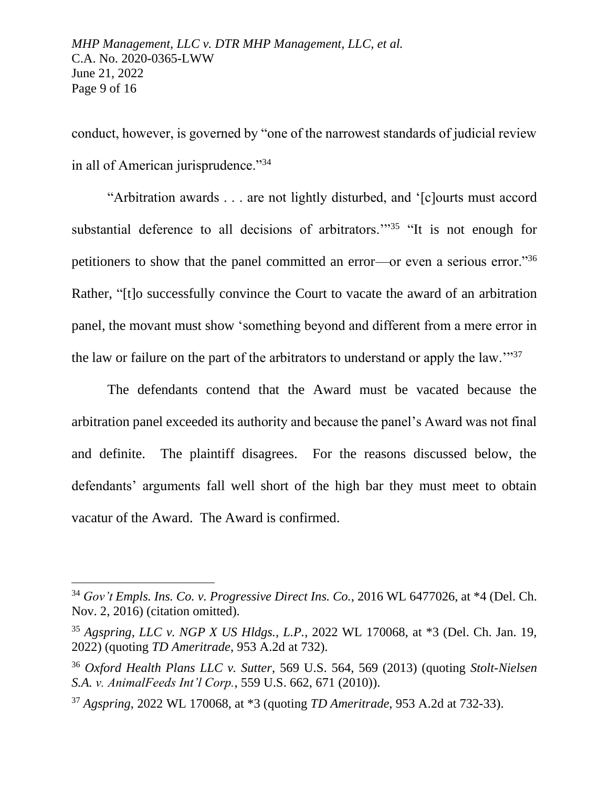conduct, however, is governed by "one of the narrowest standards of judicial review in all of American jurisprudence."<sup>34</sup>

"Arbitration awards . . . are not lightly disturbed, and '[c]ourts must accord substantial deference to all decisions of arbitrators.<sup>"35</sup> "It is not enough for petitioners to show that the panel committed an error—or even a serious error."<sup>36</sup> Rather, "[t]o successfully convince the Court to vacate the award of an arbitration panel, the movant must show 'something beyond and different from a mere error in the law or failure on the part of the arbitrators to understand or apply the law.'"<sup>37</sup>

The defendants contend that the Award must be vacated because the arbitration panel exceeded its authority and because the panel's Award was not final and definite. The plaintiff disagrees. For the reasons discussed below, the defendants' arguments fall well short of the high bar they must meet to obtain vacatur of the Award. The Award is confirmed.

<sup>34</sup> *Gov't Empls. Ins. Co. v. Progressive Direct Ins. Co.*, 2016 WL 6477026, at \*4 (Del. Ch. Nov. 2, 2016) (citation omitted).

<sup>35</sup> *Agspring, LLC v. NGP X US Hldgs., L.P.*, 2022 WL 170068, at \*3 (Del. Ch. Jan. 19, 2022) (quoting *TD Ameritrade*, 953 A.2d at 732).

<sup>36</sup> *Oxford Health Plans LLC v. Sutter*, 569 U.S. 564, 569 (2013) (quoting *Stolt-Nielsen S.A. v. AnimalFeeds Int'l Corp.*, 559 U.S. 662, 671 (2010)).

<sup>37</sup> *Agspring*, 2022 WL 170068, at \*3 (quoting *TD Ameritrade*, 953 A.2d at 732-33).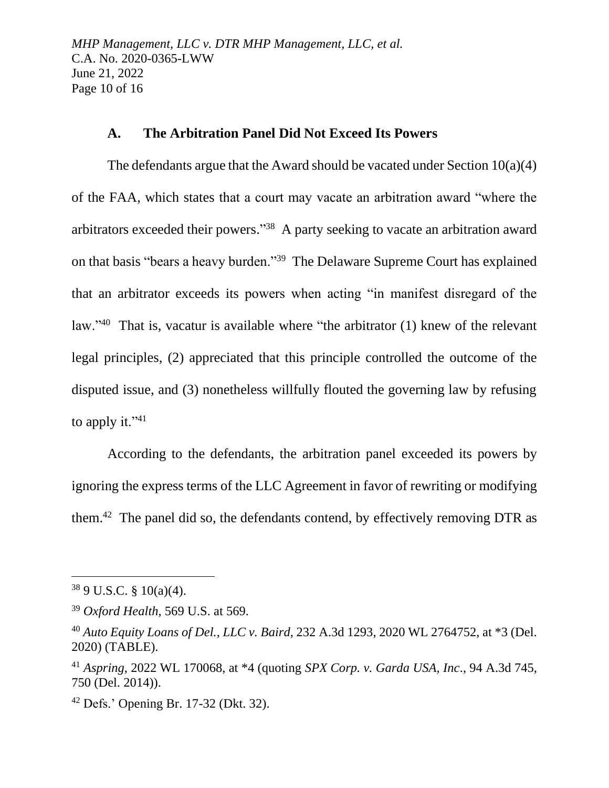*MHP Management, LLC v. DTR MHP Management, LLC, et al.* C.A. No. 2020-0365-LWW June 21, 2022 Page 10 of 16

## **A. The Arbitration Panel Did Not Exceed Its Powers**

The defendants argue that the Award should be vacated under Section 10(a)(4) of the FAA, which states that a court may vacate an arbitration award "where the arbitrators exceeded their powers."<sup>38</sup> A party seeking to vacate an arbitration award on that basis "bears a heavy burden."<sup>39</sup> The Delaware Supreme Court has explained that an arbitrator exceeds its powers when acting "in manifest disregard of the law."<sup>40</sup> That is, vacatur is available where "the arbitrator (1) knew of the relevant legal principles, (2) appreciated that this principle controlled the outcome of the disputed issue, and (3) nonetheless willfully flouted the governing law by refusing to apply it." $41$ 

According to the defendants, the arbitration panel exceeded its powers by ignoring the express terms of the LLC Agreement in favor of rewriting or modifying them.<sup>42</sup> The panel did so, the defendants contend, by effectively removing DTR as

 $389$  U.S.C. § 10(a)(4).

<sup>39</sup> *Oxford Health*, 569 U.S. at 569.

<sup>40</sup> *Auto Equity Loans of Del., LLC v. Baird*, 232 A.3d 1293, 2020 WL 2764752, at \*3 (Del. 2020) (TABLE).

<sup>41</sup> *Aspring*, 2022 WL 170068, at \*4 (quoting *SPX Corp. v. Garda USA, Inc*., 94 A.3d 745, 750 (Del. 2014)).

<sup>42</sup> Defs.' Opening Br. 17-32 (Dkt. 32).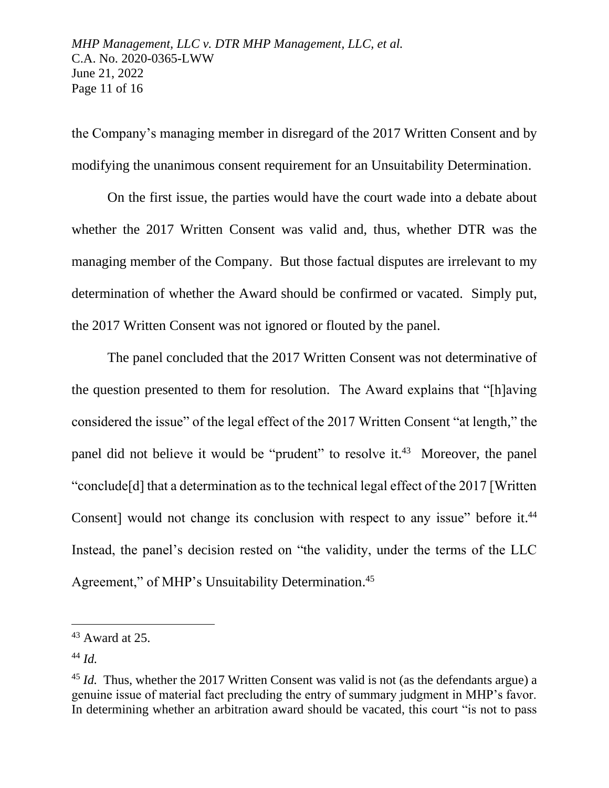the Company's managing member in disregard of the 2017 Written Consent and by modifying the unanimous consent requirement for an Unsuitability Determination.

On the first issue, the parties would have the court wade into a debate about whether the 2017 Written Consent was valid and, thus, whether DTR was the managing member of the Company. But those factual disputes are irrelevant to my determination of whether the Award should be confirmed or vacated. Simply put, the 2017 Written Consent was not ignored or flouted by the panel.

The panel concluded that the 2017 Written Consent was not determinative of the question presented to them for resolution. The Award explains that "[h]aving considered the issue" of the legal effect of the 2017 Written Consent "at length," the panel did not believe it would be "prudent" to resolve it.<sup>43</sup> Moreover, the panel "conclude[d] that a determination as to the technical legal effect of the 2017 [Written Consent] would not change its conclusion with respect to any issue" before it.<sup>44</sup> Instead, the panel's decision rested on "the validity, under the terms of the LLC Agreement," of MHP's Unsuitability Determination.<sup>45</sup>

 $43$  Award at 25.

<sup>44</sup> *Id.*

<sup>&</sup>lt;sup>45</sup> *Id.* Thus, whether the 2017 Written Consent was valid is not (as the defendants argue) a genuine issue of material fact precluding the entry of summary judgment in MHP's favor. In determining whether an arbitration award should be vacated, this court "is not to pass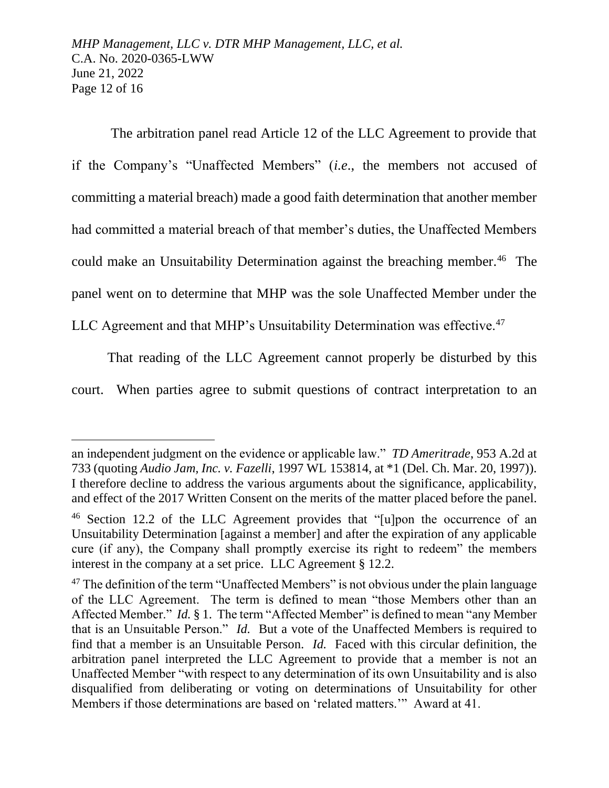The arbitration panel read Article 12 of the LLC Agreement to provide that if the Company's "Unaffected Members" (*i.e*., the members not accused of committing a material breach) made a good faith determination that another member had committed a material breach of that member's duties, the Unaffected Members could make an Unsuitability Determination against the breaching member.<sup>46</sup> The panel went on to determine that MHP was the sole Unaffected Member under the

LLC Agreement and that MHP's Unsuitability Determination was effective.<sup>47</sup>

That reading of the LLC Agreement cannot properly be disturbed by this

court. When parties agree to submit questions of contract interpretation to an

an independent judgment on the evidence or applicable law." *TD Ameritrade*, 953 A.2d at 733 (quoting *Audio Jam, Inc. v. Fazelli*, 1997 WL 153814, at \*1 (Del. Ch. Mar. 20, 1997)). I therefore decline to address the various arguments about the significance, applicability, and effect of the 2017 Written Consent on the merits of the matter placed before the panel.

<sup>&</sup>lt;sup>46</sup> Section 12.2 of the LLC Agreement provides that "[u]pon the occurrence of an Unsuitability Determination [against a member] and after the expiration of any applicable cure (if any), the Company shall promptly exercise its right to redeem" the members interest in the company at a set price. LLC Agreement § 12.2.

 $47$  The definition of the term "Unaffected Members" is not obvious under the plain language of the LLC Agreement. The term is defined to mean "those Members other than an Affected Member." *Id.* § 1. The term "Affected Member" is defined to mean "any Member that is an Unsuitable Person." *Id.* But a vote of the Unaffected Members is required to find that a member is an Unsuitable Person. *Id.* Faced with this circular definition, the arbitration panel interpreted the LLC Agreement to provide that a member is not an Unaffected Member "with respect to any determination of its own Unsuitability and is also disqualified from deliberating or voting on determinations of Unsuitability for other Members if those determinations are based on 'related matters.'" Award at 41.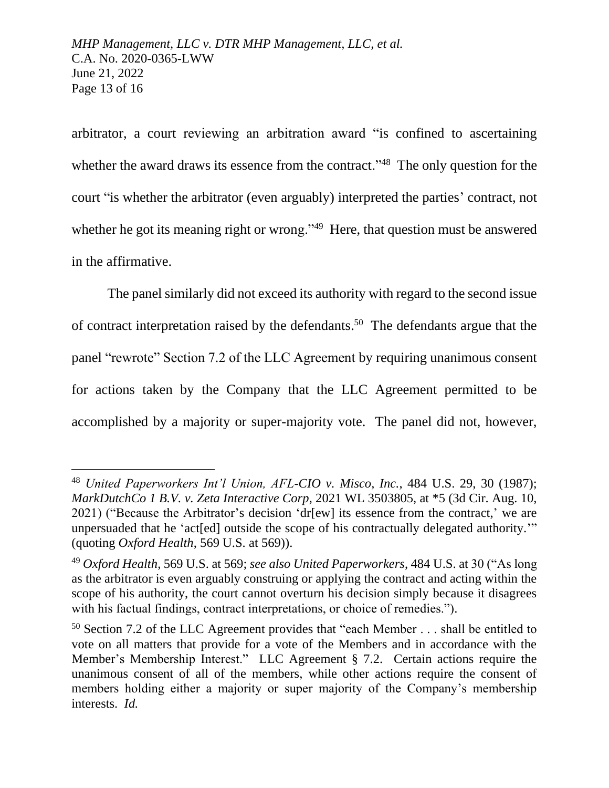arbitrator, a court reviewing an arbitration award "is confined to ascertaining whether the award draws its essence from the contract."<sup>48</sup> The only question for the court "is whether the arbitrator (even arguably) interpreted the parties' contract, not whether he got its meaning right or wrong."<sup>49</sup> Here, that question must be answered in the affirmative.

The panel similarly did not exceed its authority with regard to the second issue of contract interpretation raised by the defendants. 50 The defendants argue that the panel "rewrote" Section 7.2 of the LLC Agreement by requiring unanimous consent for actions taken by the Company that the LLC Agreement permitted to be accomplished by a majority or super-majority vote. The panel did not, however,

<sup>48</sup> *United Paperworkers Int'l Union, AFL-CIO v. Misco, Inc.*, 484 U.S. 29, 30 (1987); *MarkDutchCo 1 B.V. v. Zeta Interactive Corp*, 2021 WL 3503805, at \*5 (3d Cir. Aug. 10, 2021) ("Because the Arbitrator's decision 'dr[ew] its essence from the contract,' we are unpersuaded that he 'act[ed] outside the scope of his contractually delegated authority.'" (quoting *Oxford Health*, 569 U.S. at 569)).

<sup>49</sup> *Oxford Health*, 569 U.S. at 569; *see also United Paperworkers*, 484 U.S. at 30 ("As long as the arbitrator is even arguably construing or applying the contract and acting within the scope of his authority, the court cannot overturn his decision simply because it disagrees with his factual findings, contract interpretations, or choice of remedies.").

<sup>&</sup>lt;sup>50</sup> Section 7.2 of the LLC Agreement provides that "each Member  $\dots$  shall be entitled to vote on all matters that provide for a vote of the Members and in accordance with the Member's Membership Interest." LLC Agreement § 7.2. Certain actions require the unanimous consent of all of the members, while other actions require the consent of members holding either a majority or super majority of the Company's membership interests. *Id.*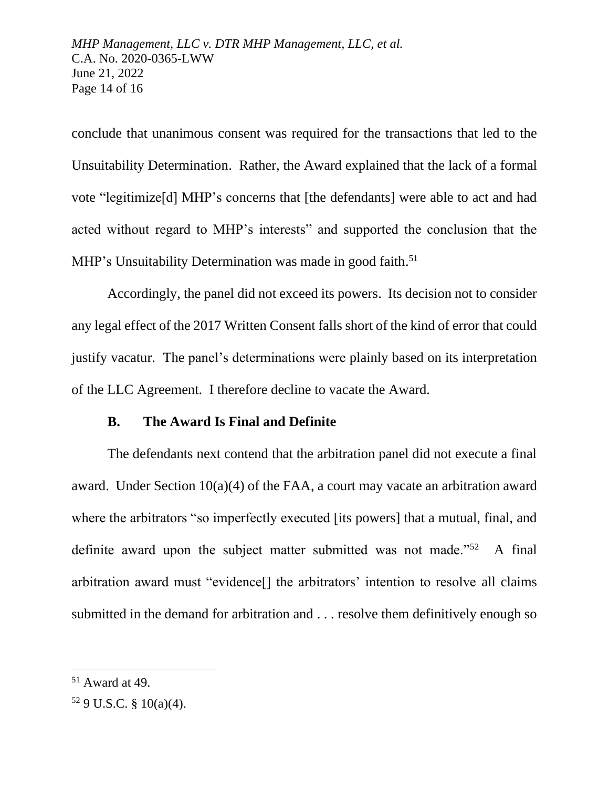conclude that unanimous consent was required for the transactions that led to the Unsuitability Determination. Rather, the Award explained that the lack of a formal vote "legitimize[d] MHP's concerns that [the defendants] were able to act and had acted without regard to MHP's interests" and supported the conclusion that the MHP's Unsuitability Determination was made in good faith.<sup>51</sup>

Accordingly, the panel did not exceed its powers. Its decision not to consider any legal effect of the 2017 Written Consent falls short of the kind of error that could justify vacatur. The panel's determinations were plainly based on its interpretation of the LLC Agreement. I therefore decline to vacate the Award.

#### **B. The Award Is Final and Definite**

The defendants next contend that the arbitration panel did not execute a final award. Under Section 10(a)(4) of the FAA, a court may vacate an arbitration award where the arbitrators "so imperfectly executed [its powers] that a mutual, final, and definite award upon the subject matter submitted was not made."<sup>52</sup> A final arbitration award must "evidence[] the arbitrators' intention to resolve all claims submitted in the demand for arbitration and . . . resolve them definitively enough so

 $51$  Award at 49.

 $52$  9 U.S.C. § 10(a)(4).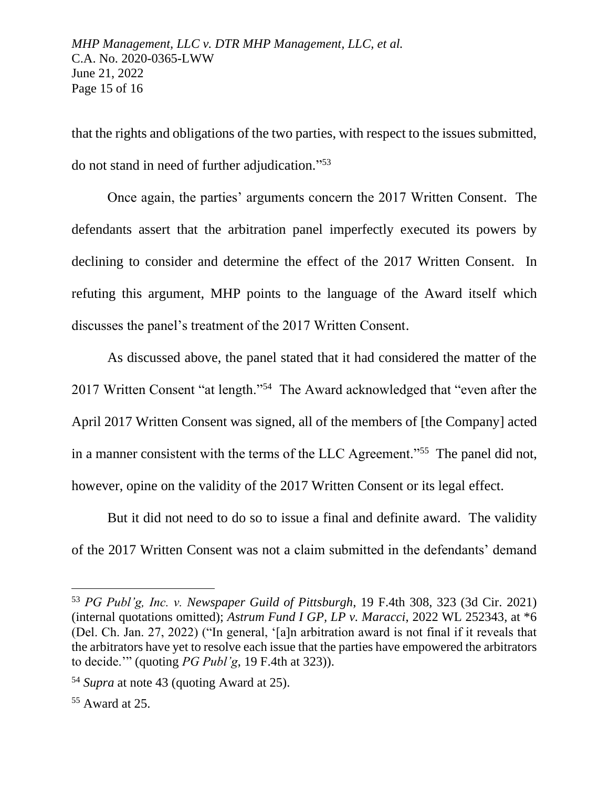that the rights and obligations of the two parties, with respect to the issues submitted, do not stand in need of further adjudication." 53

Once again, the parties' arguments concern the 2017 Written Consent. The defendants assert that the arbitration panel imperfectly executed its powers by declining to consider and determine the effect of the 2017 Written Consent. In refuting this argument, MHP points to the language of the Award itself which discusses the panel's treatment of the 2017 Written Consent.

As discussed above, the panel stated that it had considered the matter of the 2017 Written Consent "at length."<sup>54</sup> The Award acknowledged that "even after the April 2017 Written Consent was signed, all of the members of [the Company] acted in a manner consistent with the terms of the LLC Agreement."<sup>55</sup> The panel did not, however, opine on the validity of the 2017 Written Consent or its legal effect.

But it did not need to do so to issue a final and definite award. The validity of the 2017 Written Consent was not a claim submitted in the defendants' demand

<sup>53</sup> *PG Publ'g, Inc. v. Newspaper Guild of Pittsburgh*, 19 F.4th 308, 323 (3d Cir. 2021) (internal quotations omitted); *Astrum Fund I GP, LP v. Maracci*, 2022 WL 252343, at \*6 (Del. Ch. Jan. 27, 2022) ("In general, '[a]n arbitration award is not final if it reveals that the arbitrators have yet to resolve each issue that the parties have empowered the arbitrators to decide.'" (quoting *PG Publ'g*, 19 F.4th at 323)).

<sup>54</sup> *Supra* at note 43 (quoting Award at 25).

<sup>55</sup> Award at 25.